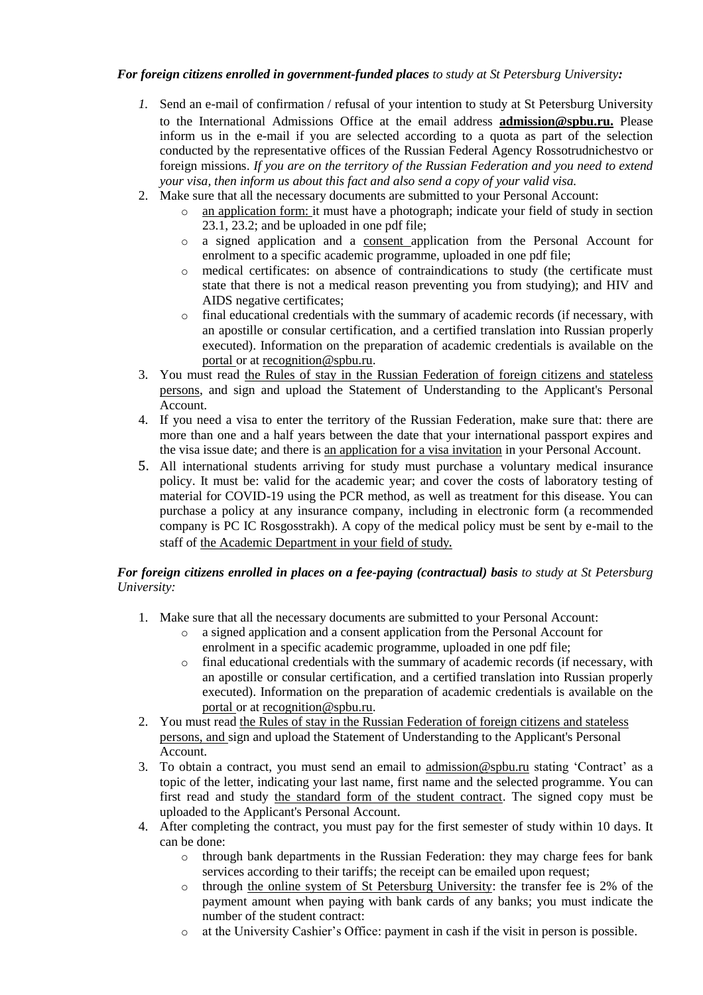# *For foreign citizens enrolled in government-funded places to study at St Petersburg University:*

- *1.* Send an e-mail of confirmation / refusal of your intention to study at St Petersburg University to the International Admissions Office at the email address **admission@spbu.ru.** Please inform us in the e-mail if you are selected according to a quota as part of the selection conducted by the representative offices of the Russian Federal Agency Rossotrudnichestvo or foreign missions. *If you are on the territory of the Russian Federation and you need to extend your visa, then inform us about this fact and also send a copy of your valid visa.*
- 2. Make sure that all the necessary documents are submitted to your Personal Account:
	- o an application form: it must have a photograph; indicate your field of study in section 23.1, 23.2; and be uploaded in one pdf file;
	- o a signed application and a consent application from the Personal Account for enrolment to a specific academic programme, uploaded in one pdf file;
	- o medical certificates: on absence of contraindications to study (the certificate must state that there is not a medical reason preventing you from studying); and HIV and AIDS negative certificates;
	- o final educational credentials with the summary of academic records (if necessary, with an apostille or consular certification, and a certified translation into Russian properly executed). Information on the preparation of academic credentials is available on the portal or at [recognition@spbu.ru.](mailto:recognition@spbu.ru)
- 3. You must read the Rules of stay in the Russian Federation of foreign citizens and stateless persons, and sign and upload the Statement of Understanding to the Applicant's Personal Account.
- 4. If you need a visa to enter the territory of the Russian Federation, make sure that: there are more than one and a half years between the date that your international passport expires and the visa issue date; and there is an application for a visa invitation in your Personal Account.
- 5. All international students arriving for study must purchase a voluntary medical insurance policy. It must be: valid for the academic year; and cover the costs of laboratory testing of material for COVID-19 using the PCR method, as well as treatment for this disease. You can purchase a policy at any insurance company, including in electronic form (a recommended company is PC IC Rosgosstrakh). A copy of the medical policy must be sent by e-mail to the staff of the Academic Department in your field of study.

# *For foreign citizens enrolled in places on a fee-paying (contractual) basis to study at St Petersburg University:*

- 1. Make sure that all the necessary documents are submitted to your Personal Account:
	- o a signed application and a consent application from the Personal Account for enrolment in a specific academic programme, uploaded in one pdf file;
	- o final educational credentials with the summary of academic records (if necessary, with an apostille or consular certification, and a certified translation into Russian properly executed). Information on the preparation of academic credentials is available on the portal or at [recognition@spbu.ru.](mailto:recognition@spbu.ru)
- 2. You must read the Rules of stay in the Russian Federation of foreign citizens and stateless persons, and sign and upload the Statement of Understanding to the Applicant's Personal Account.
- 3. To obtain a contract, you must send an email to [admission@spbu.ru](mailto:admission@spbu.ru) stating 'Contract' as a topic of the letter, indicating your last name, first name and the selected programme. You can first read and study the standard form of the student contract. The signed copy must be uploaded to the Applicant's Personal Account.
- 4. After completing the contract, you must pay for the first semester of study within 10 days. It can be done:
	- o through bank departments in the Russian Federation: they may charge fees for bank services according to their tariffs; the receipt can be emailed upon request;
	- o through the online system of St Petersburg University: the transfer fee is 2% of the payment amount when paying with bank cards of any banks; you must indicate the number of the student contract:
	- o at the University Cashier's Office: payment in cash if the visit in person is possible.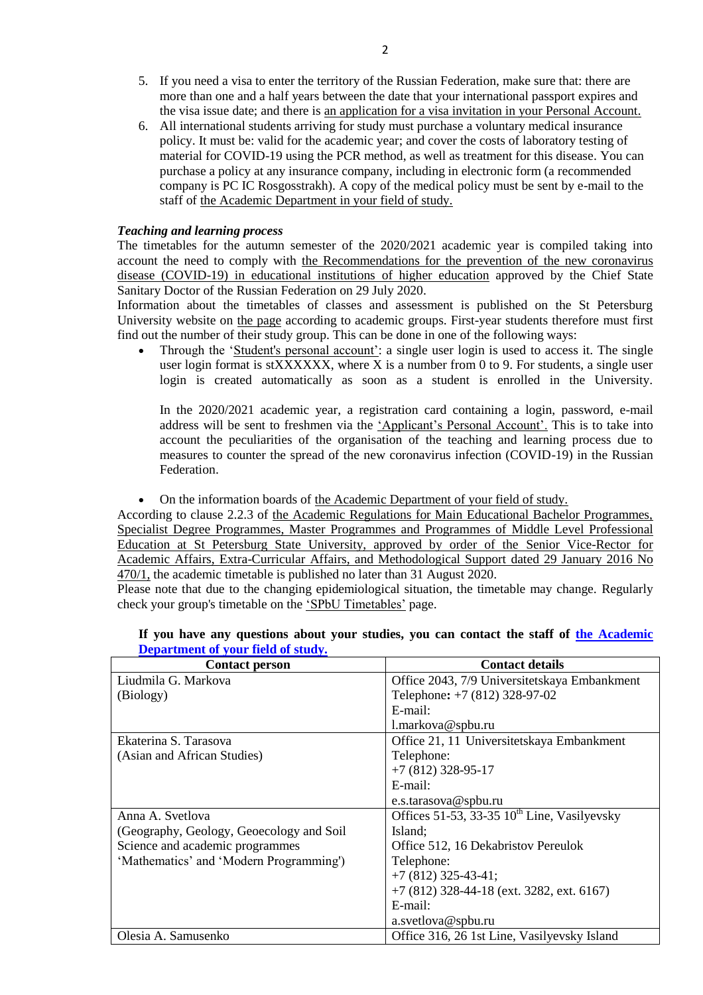- 5. If you need a visa to enter the territory of the Russian Federation, make sure that: there are more than one and a half years between the date that your international passport expires and the visa issue date; and there is an application for a visa invitation in your Personal Account.
- 6. All international students arriving for study must purchase a voluntary medical insurance policy. It must be: valid for the academic year; and cover the costs of laboratory testing of material for COVID-19 using the PCR method, as well as treatment for this disease. You can purchase a policy at any insurance company, including in electronic form (a recommended company is PC IC Rosgosstrakh). A copy of the medical policy must be sent by e-mail to the staff of the Academic Department in your field of study.

### *Teaching and learning process*

The timetables for the autumn semester of the 2020/2021 academic year is compiled taking into account the need to comply with the Recommendations for the prevention of the new coronavirus disease (COVID-19) in educational institutions of higher education approved by the Chief State Sanitary Doctor of the Russian Federation on 29 July 2020.

Information about the timetables of classes and assessment is published on the St Petersburg University website on the page according to academic groups. First-year students therefore must first find out the number of their study group. This can be done in one of the following ways:

Through the 'Student's personal account': a single user login is used to access it. The single user login format is stXXXXXX, where X is a number from 0 to 9. For students, a single user login is created automatically as soon as a student is enrolled in the University.

In the 2020/2021 academic year, a registration card containing a login, password, e-mail address will be sent to freshmen via the 'Applicant's Personal Account'. This is to take into account the peculiarities of the organisation of the teaching and learning process due to measures to counter the spread of the new coronavirus infection (COVID-19) in the Russian Federation.

On the information boards of the Academic Department of your field of study.

According to clause 2.2.3 of the Academic Regulations for Main Educational Bachelor Programmes, Specialist Degree Programmes, Master Programmes and Programmes of Middle Level Professional Education at St Petersburg State University, approved by order of the Senior Vice-Rector for Academic Affairs, Extra-Curricular Affairs, and Methodological Support dated 29 January 2016 No 470/1, the academic timetable is published no later than 31 August 2020.

Please note that due to the changing epidemiological situation, the timetable may change. Regularly check your group's timetable on the 'SPbU Timetables' page.

| <b>Contact person</b>                     | <b>Contact details</b>                           |
|-------------------------------------------|--------------------------------------------------|
| Liudmila G. Markova                       | Office 2043, 7/9 Universitetskaya Embankment     |
| (Biology)                                 | Telephone: +7 (812) 328-97-02                    |
|                                           | $E$ -mail:                                       |
|                                           | 1.markova@spbu.ru                                |
| Ekaterina S. Tarasova                     | Office 21, 11 Universitetskaya Embankment        |
| (Asian and African Studies)               | Telephone:                                       |
|                                           | $+7(812)$ 328-95-17                              |
|                                           | $E$ -mail:                                       |
|                                           | e.s.tarasova@spbu.ru                             |
| Anna A. Svetlova                          | Offices 51-53, 33-35 $10^{th}$ Line, Vasilyevsky |
| (Geography, Geology, Geoecology and Soil) | Island;                                          |
| Science and academic programmes           | Office 512, 16 Dekabristov Pereulok              |
| 'Mathematics' and 'Modern Programming')   | Telephone:                                       |
|                                           | $+7(812)$ 325-43-41;                             |
|                                           | $+7$ (812) 328-44-18 (ext. 3282, ext. 6167)      |
|                                           | E-mail:                                          |
|                                           | a.svetlova@spbu.ru                               |
| Olesia A. Samusenko                       | Office 316, 26 1st Line, Vasilyevsky Island      |

## **If you have any questions about your studies, you can contact the staff of the Academic Department of your field of study.**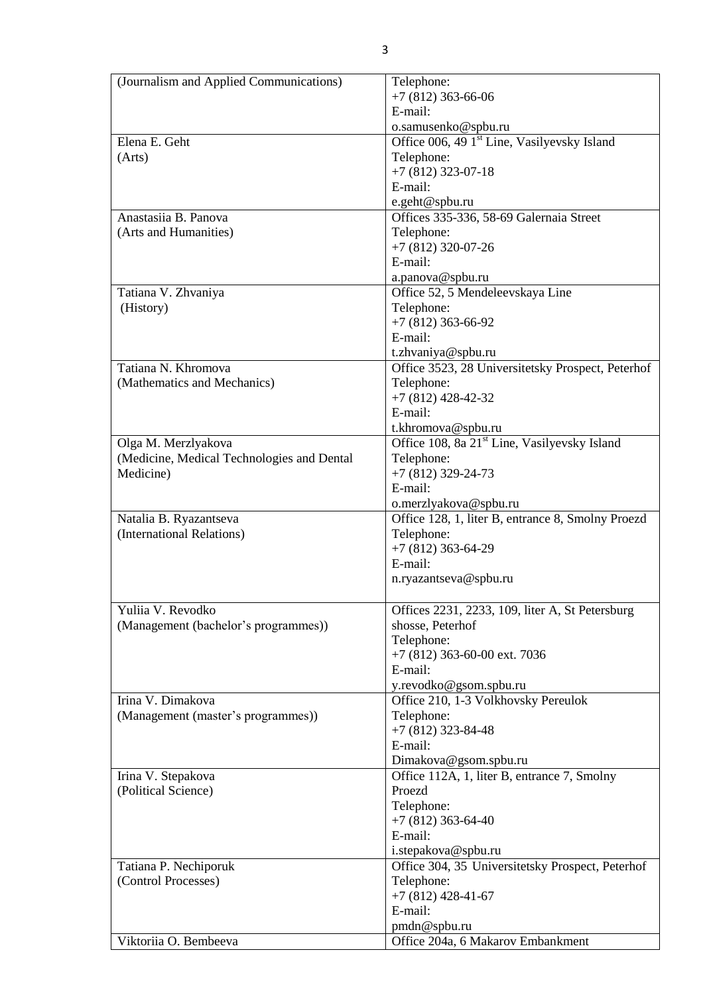| (Journalism and Applied Communications)    | Telephone:                                               |
|--------------------------------------------|----------------------------------------------------------|
|                                            | $+7(812)363-66-06$                                       |
|                                            | E-mail:                                                  |
|                                            | o.samusenko@spbu.ru                                      |
| Elena E. Geht                              | Office 006, 49 1 <sup>st</sup> Line, Vasilyevsky Island  |
| (Arts)                                     | Telephone:                                               |
|                                            | $+7(812)$ 323-07-18                                      |
|                                            | E-mail:                                                  |
|                                            | e.geht@spbu.ru                                           |
| Anastasiia B. Panova                       | Offices 335-336, 58-69 Galernaia Street                  |
| (Arts and Humanities)                      | Telephone:                                               |
|                                            |                                                          |
|                                            | $+7(812)$ 320-07-26<br>E-mail:                           |
|                                            |                                                          |
|                                            | a.panova@spbu.ru                                         |
| Tatiana V. Zhvaniya                        | Office 52, 5 Mendeleevskaya Line                         |
| (History)                                  | Telephone:                                               |
|                                            | $+7(812)363-66-92$                                       |
|                                            | E-mail:                                                  |
|                                            | t.zhvaniya@spbu.ru                                       |
| Tatiana N. Khromova                        | Office 3523, 28 Universitetsky Prospect, Peterhof        |
| (Mathematics and Mechanics)                | Telephone:                                               |
|                                            | $+7(812)$ 428-42-32                                      |
|                                            | E-mail:                                                  |
|                                            | t.khromova@spbu.ru                                       |
| Olga M. Merzlyakova                        | Office 108, 8a 21 <sup>st</sup> Line, Vasilyevsky Island |
| (Medicine, Medical Technologies and Dental | Telephone:                                               |
| Medicine)                                  | $+7(812)$ 329-24-73                                      |
|                                            | E-mail:                                                  |
|                                            | o.merzlyakova@spbu.ru                                    |
| Natalia B. Ryazantseva                     | Office 128, 1, liter B, entrance 8, Smolny Proezd        |
| (International Relations)                  | Telephone:                                               |
|                                            | $+7(812)363-64-29$                                       |
|                                            | E-mail:                                                  |
|                                            | n.ryazantseva@spbu.ru                                    |
|                                            |                                                          |
| Yuliia V. Revodko                          | Offices 2231, 2233, 109, liter A, St Petersburg          |
| (Management (bachelor's programmes))       | shosse, Peterhof                                         |
|                                            | Telephone:                                               |
|                                            | +7 (812) 363-60-00 ext. 7036                             |
|                                            | E-mail:                                                  |
|                                            |                                                          |
|                                            | y.revodko@gsom.spbu.ru                                   |
| Irina V. Dimakova                          | Office 210, 1-3 Volkhovsky Pereulok                      |
| (Management (master's programmes))         | Telephone:                                               |
|                                            | $+7(812)$ 323-84-48                                      |
|                                            | E-mail:                                                  |
|                                            | Dimakova@gsom.spbu.ru                                    |
| Irina V. Stepakova                         | Office 112A, 1, liter B, entrance 7, Smolny              |
| (Political Science)                        | Proezd                                                   |
|                                            | Telephone:                                               |
|                                            | $+7(812)363-64-40$                                       |
|                                            | E-mail:                                                  |
|                                            | i.stepakova@spbu.ru                                      |
| Tatiana P. Nechiporuk                      | Office 304, 35 Universitetsky Prospect, Peterhof         |
| (Control Processes)                        | Telephone:                                               |
|                                            | $+7(812)$ 428-41-67                                      |
|                                            | E-mail:                                                  |
|                                            | pmdn@spbu.ru                                             |
| Viktoriia O. Bembeeva                      | Office 204a, 6 Makarov Embankment                        |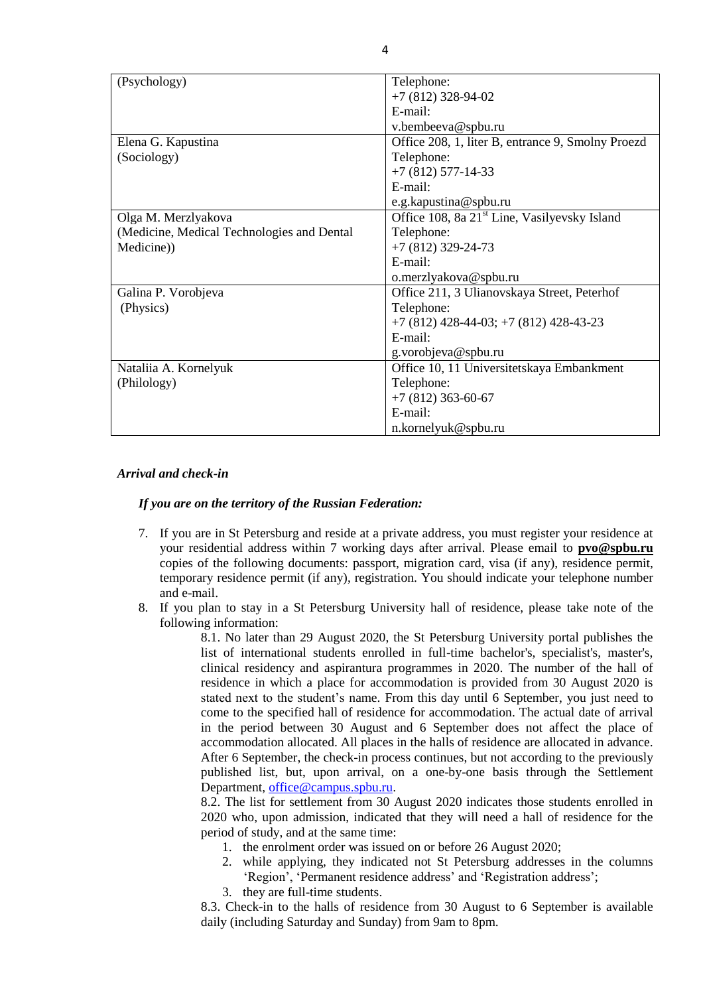| (Psychology)                               | Telephone:                                               |
|--------------------------------------------|----------------------------------------------------------|
|                                            | $+7(812)$ 328-94-02                                      |
|                                            | $E$ -mail·                                               |
|                                            | v.bembeeva@spbu.ru                                       |
| Elena G. Kapustina                         | Office 208, 1, liter B, entrance 9, Smolny Proezd        |
| (Sociology)                                | Telephone:                                               |
|                                            | $+7(812)$ 577-14-33                                      |
|                                            | E-mail:                                                  |
|                                            | e.g.kapustina@spbu.ru                                    |
| Olga M. Merzlyakova                        | Office 108, 8a 21 <sup>st</sup> Line, Vasilyevsky Island |
| (Medicine, Medical Technologies and Dental | Telephone:                                               |
| Medicine)                                  | $+7(812)$ 329-24-73                                      |
|                                            | E-mail:                                                  |
|                                            | o.merzlyakova@spbu.ru                                    |
| Galina P. Vorobjeva                        | Office 211, 3 Ulianovskaya Street, Peterhof              |
| (Physics)                                  | Telephone:                                               |
|                                            | $+7(812)$ 428-44-03; $+7(812)$ 428-43-23                 |
|                                            | E-mail:                                                  |
|                                            | g.vorobjeva@spbu.ru                                      |
| Nataliia A. Kornelyuk                      | Office 10, 11 Universitetskaya Embankment                |
| (Philology)                                | Telephone:                                               |
|                                            | $+7(812)363-60-67$                                       |
|                                            | E-mail:                                                  |
|                                            | n.kornelyuk@spbu.ru                                      |

### *Arrival and check-in*

### *If you are on the territory of the Russian Federation:*

- 7. If you are in St Petersburg and reside at a private address, you must register your residence at your residential address within 7 working days after arrival. Please email to **[pvo@spbu.ru](mailto:pvo@spbu.ru)** copies of the following documents: passport, migration card, visa (if any), residence permit, temporary residence permit (if any), registration. You should indicate your telephone number and e-mail.
- 8. If you plan to stay in a St Petersburg University hall of residence, please take note of the following information:

8.1. No later than 29 August 2020, the St Petersburg University portal publishes the list of international students enrolled in full-time bachelor's, specialist's, master's, clinical residency and aspirantura programmes in 2020. The number of the hall of residence in which a place for accommodation is provided from 30 August 2020 is stated next to the student's name. From this day until 6 September, you just need to come to the specified hall of residence for accommodation. The actual date of arrival in the period between 30 August and 6 September does not affect the place of accommodation allocated. All places in the halls of residence are allocated in advance. After 6 September, the check-in process continues, but not according to the previously published list, but, upon arrival, on a one-by-one basis through the Settlement Department, [office@campus.spbu.ru.](mailto:office@campus.spbu.ru)

8.2. The list for settlement from 30 August 2020 indicates those students enrolled in 2020 who, upon admission, indicated that they will need a hall of residence for the period of study, and at the same time:

- 1. the enrolment order was issued on or before 26 August 2020;
- 2. while applying, they indicated not St Petersburg addresses in the columns 'Region', 'Permanent residence address' and 'Registration address';
- 3. they are full-time students.

8.3. Check-in to the halls of residence from 30 August to 6 September is available daily (including Saturday and Sunday) from 9am to 8pm.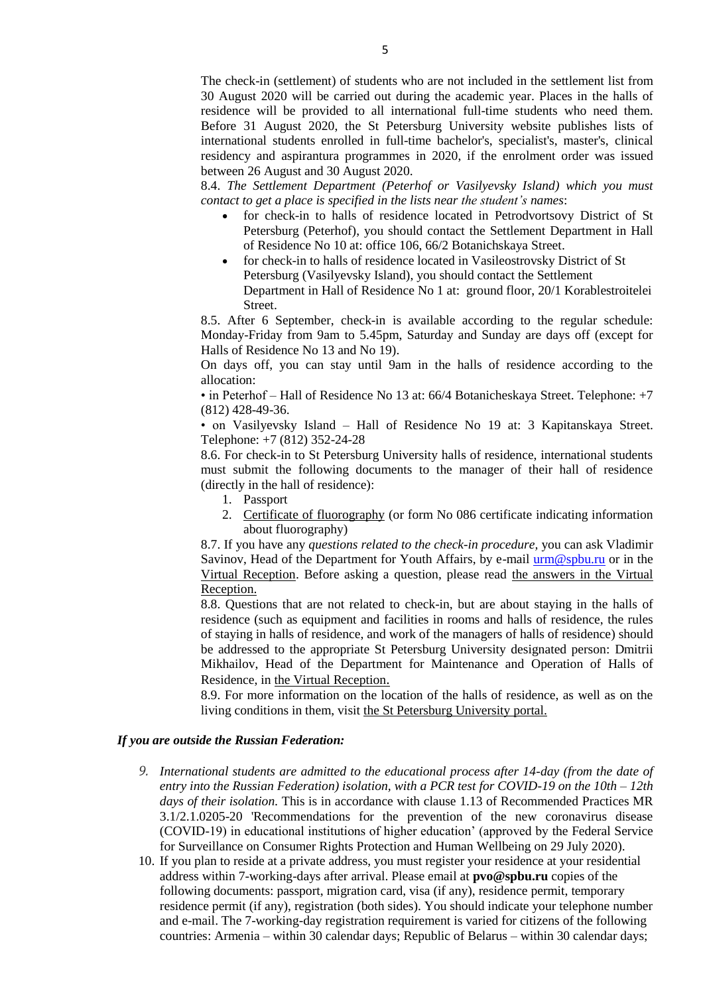The check-in (settlement) of students who are not included in the settlement list from 30 August 2020 will be carried out during the academic year. Places in the halls of residence will be provided to all international full-time students who need them. Before 31 August 2020, the St Petersburg University website publishes lists of international students enrolled in full-time bachelor's, specialist's, master's, clinical residency and aspirantura programmes in 2020, if the enrolment order was issued between 26 August and 30 August 2020.

8.4. *The Settlement Department (Peterhof or Vasilyevsky Island) which you must contact to get a place is specified in the lists near the student's names*:

- for check-in to halls of residence located in Petrodvortsovy District of St Petersburg (Peterhof), you should contact the Settlement Department in Hall of Residence No 10 at: office 106, 66/2 Botanichskaya Street.
- for check-in to halls of residence located in Vasileostrovsky District of St Petersburg (Vasilyevsky Island), you should contact the Settlement Department in Hall of Residence No 1 at: ground floor, 20/1 Korablestroitelei Street.

8.5. After 6 September, check-in is available according to the regular schedule: Monday-Friday from 9am to 5.45pm, Saturday and Sunday are days off (except for Halls of Residence No 13 and No 19).

On days off, you can stay until 9am in the halls of residence according to the allocation:

• in Peterhof – Hall of Residence No 13 at: 66/4 Botanicheskaya Street. Telephone: +7 (812) 428-49-36.

• on Vasilyevsky Island – Hall of Residence No 19 at: 3 Kapitanskaya Street. Telephone: +7 (812) 352-24-28

8.6. For check-in to St Petersburg University halls of residence, international students must submit the following documents to the manager of their hall of residence (directly in the hall of residence):

- 1. Passport
- 2. Certificate of fluorography (or form No 086 certificate indicating information about fluorography)

8.7. If you have any *questions related to the check-in procedure,* you can ask Vladimir Savinov, Head of the Department for Youth Affairs, by e-mail [urm@spbu.ru](mailto:urm@spbu.ru) or in the Virtual Reception. Before asking a question, please read the answers in the Virtual Reception.

8.8. Questions that are not related to check-in, but are about staying in the halls of residence (such as equipment and facilities in rooms and halls of residence, the rules of staying in halls of residence, and work of the managers of halls of residence) should be addressed to the appropriate St Petersburg University designated person: Dmitrii Mikhailov, Head of the Department for Maintenance and Operation of Halls of Residence, in the Virtual Reception.

8.9. For more information on the location of the halls of residence, as well as on the living conditions in them, visit the St Petersburg University portal.

### *If you are outside the Russian Federation:*

- *9. International students are admitted to the educational process after 14-day (from the date of entry into the Russian Federation) isolation, with a PCR test for COVID-19 on the 10th – 12th days of their isolation.* This is in accordance with clause 1.13 of Recommended Practices MR 3.1/2.1.0205-20 'Recommendations for the prevention of the new coronavirus disease (COVID-19) in educational institutions of higher education' (approved by the Federal Service for Surveillance on Consumer Rights Protection and Human Wellbeing on 29 July 2020).
- 10. If you plan to reside at a private address, you must register your residence at your residential address within 7-working-days after arrival. Please email at **pvo@spbu.ru** copies of the following documents: passport, migration card, visa (if any), residence permit, temporary residence permit (if any), registration (both sides). You should indicate your telephone number and e-mail. The 7-working-day registration requirement is varied for citizens of the following countries: Armenia – within 30 calendar days; Republic of Belarus – within 30 calendar days;